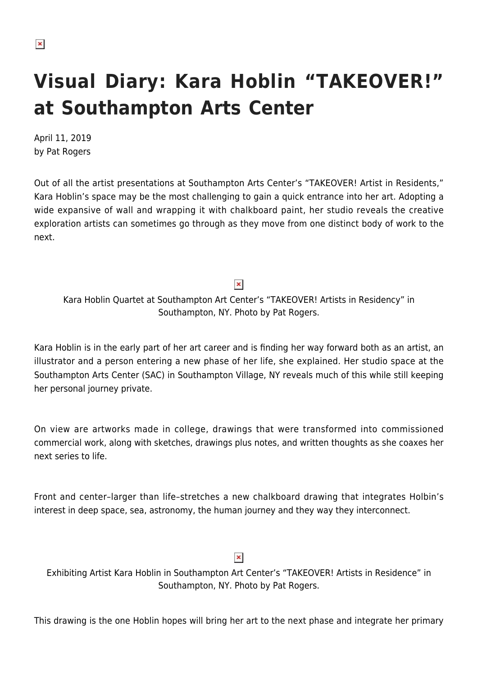## **Visual Diary: Kara Hoblin "TAKEOVER!" at Southampton Arts Center**

April 11, 2019 by Pat Rogers

Out of all the artist presentations at Southampton Arts Center's "TAKEOVER! Artist in Residents," Kara Hoblin's space may be the most challenging to gain a quick entrance into her art. Adopting a wide expansive of wall and wrapping it with chalkboard paint, her studio reveals the creative exploration artists can sometimes go through as they move from one distinct body of work to the next.

 $\pmb{\times}$ 

Kara Hoblin Quartet at Southampton Art Center's "TAKEOVER! Artists in Residency" in Southampton, NY. Photo by Pat Rogers.

Kara Hoblin is in the early part of her art career and is finding her way forward both as an artist, an illustrator and a person entering a new phase of her life, she explained. Her studio space at the Southampton Arts Center (SAC) in Southampton Village, NY reveals much of this while still keeping her personal journey private.

On view are artworks made in college, drawings that were transformed into commissioned commercial work, along with sketches, drawings plus notes, and written thoughts as she coaxes her next series to life.

Front and center–larger than life–stretches a new chalkboard drawing that integrates Holbin's interest in deep space, sea, astronomy, the human journey and they way they interconnect.

## $\pmb{\times}$

Exhibiting Artist Kara Hoblin in Southampton Art Center's "TAKEOVER! Artists in Residence" in Southampton, NY. Photo by Pat Rogers.

This drawing is the one Hoblin hopes will bring her art to the next phase and integrate her primary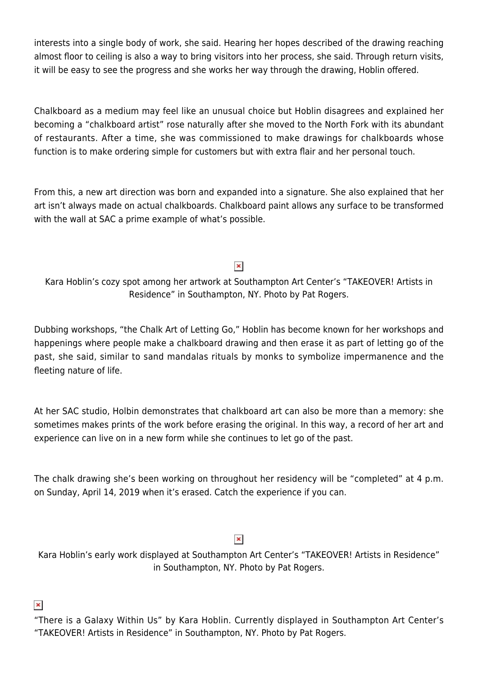interests into a single body of work, she said. Hearing her hopes described of the drawing reaching almost floor to ceiling is also a way to bring visitors into her process, she said. Through return visits, it will be easy to see the progress and she works her way through the drawing, Hoblin offered.

Chalkboard as a medium may feel like an unusual choice but Hoblin disagrees and explained her becoming a "chalkboard artist" rose naturally after she moved to the North Fork with its abundant of restaurants. After a time, she was commissioned to make drawings for chalkboards whose function is to make ordering simple for customers but with extra flair and her personal touch.

From this, a new art direction was born and expanded into a signature. She also explained that her art isn't always made on actual chalkboards. Chalkboard paint allows any surface to be transformed with the wall at SAC a prime example of what's possible.

## $\pmb{\times}$

Kara Hoblin's cozy spot among her artwork at Southampton Art Center's "TAKEOVER! Artists in Residence" in Southampton, NY. Photo by Pat Rogers.

Dubbing workshops, "the Chalk Art of Letting Go," Hoblin has become known for her workshops and happenings where people make a chalkboard drawing and then erase it as part of letting go of the past, she said, similar to sand mandalas rituals by monks to symbolize impermanence and the fleeting nature of life.

At her SAC studio, Holbin demonstrates that chalkboard art can also be more than a memory: she sometimes makes prints of the work before erasing the original. In this way, a record of her art and experience can live on in a new form while she continues to let go of the past.

The chalk drawing she's been working on throughout her residency will be "completed" at 4 p.m. on Sunday, April 14, 2019 when it's erased. Catch the experience if you can.

## $\pmb{\times}$

Kara Hoblin's early work displayed at Southampton Art Center's "TAKEOVER! Artists in Residence" in Southampton, NY. Photo by Pat Rogers.

 $\pmb{\times}$ 

"There is a Galaxy Within Us" by Kara Hoblin. Currently displayed in Southampton Art Center's "TAKEOVER! Artists in Residence" in Southampton, NY. Photo by Pat Rogers.